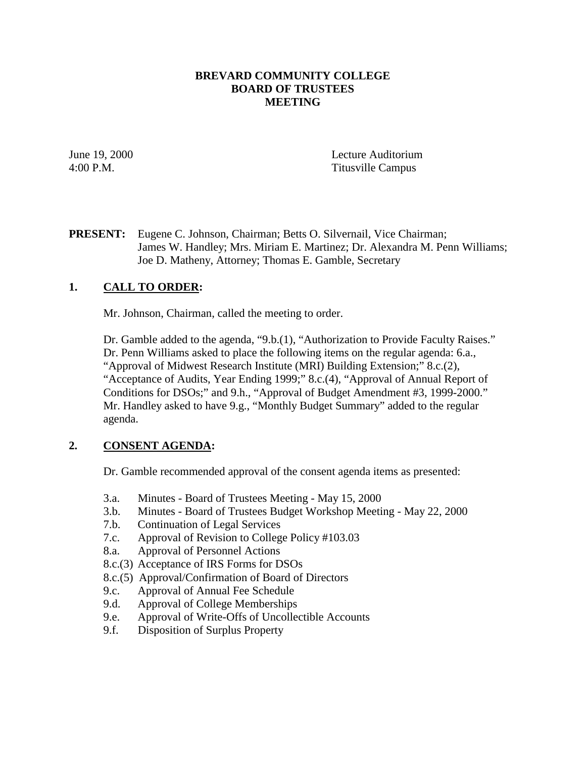## **BREVARD COMMUNITY COLLEGE BOARD OF TRUSTEES MEETING**

June 19, 2000 Lecture Auditorium 4:00 P.M. Titusville Campus

# **PRESENT:** Eugene C. Johnson, Chairman; Betts O. Silvernail, Vice Chairman; James W. Handley; Mrs. Miriam E. Martinez; Dr. Alexandra M. Penn Williams; Joe D. Matheny, Attorney; Thomas E. Gamble, Secretary

# **1. CALL TO ORDER:**

Mr. Johnson, Chairman, called the meeting to order.

Dr. Gamble added to the agenda, "9.b.(1), "Authorization to Provide Faculty Raises." Dr. Penn Williams asked to place the following items on the regular agenda: 6.a., "Approval of Midwest Research Institute (MRI) Building Extension;" 8.c.(2), "Acceptance of Audits, Year Ending 1999;" 8.c.(4), "Approval of Annual Report of Conditions for DSOs;" and 9.h., "Approval of Budget Amendment #3, 1999-2000." Mr. Handley asked to have 9.g., "Monthly Budget Summary" added to the regular agenda.

# **2. CONSENT AGENDA:**

Dr. Gamble recommended approval of the consent agenda items as presented:

- 3.a. Minutes Board of Trustees Meeting May 15, 2000
- 3.b. Minutes Board of Trustees Budget Workshop Meeting May 22, 2000
- 7.b. Continuation of Legal Services
- 7.c. Approval of Revision to College Policy #103.03
- 8.a. Approval of Personnel Actions
- 8.c.(3) Acceptance of IRS Forms for DSOs
- 8.c.(5) Approval/Confirmation of Board of Directors
- 9.c. Approval of Annual Fee Schedule
- 9.d. Approval of College Memberships
- 9.e. Approval of Write-Offs of Uncollectible Accounts
- 9.f. Disposition of Surplus Property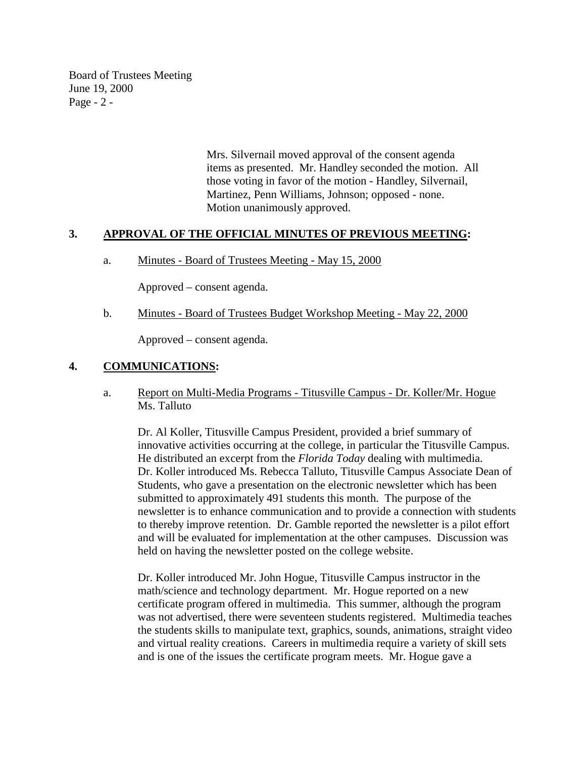Board of Trustees Meeting June 19, 2000 Page - 2 -

> Mrs. Silvernail moved approval of the consent agenda items as presented. Mr. Handley seconded the motion. All those voting in favor of the motion - Handley, Silvernail, Martinez, Penn Williams, Johnson; opposed - none. Motion unanimously approved.

### **3. APPROVAL OF THE OFFICIAL MINUTES OF PREVIOUS MEETING:**

a. Minutes - Board of Trustees Meeting - May 15, 2000

Approved – consent agenda.

b. Minutes - Board of Trustees Budget Workshop Meeting - May 22, 2000

Approved – consent agenda.

## **4. COMMUNICATIONS:**

a. Report on Multi-Media Programs - Titusville Campus - Dr. Koller/Mr. Hogue Ms. Talluto

Dr. Al Koller, Titusville Campus President, provided a brief summary of innovative activities occurring at the college, in particular the Titusville Campus. He distributed an excerpt from the *Florida Today* dealing with multimedia. Dr. Koller introduced Ms. Rebecca Talluto, Titusville Campus Associate Dean of Students, who gave a presentation on the electronic newsletter which has been submitted to approximately 491 students this month. The purpose of the newsletter is to enhance communication and to provide a connection with students to thereby improve retention. Dr. Gamble reported the newsletter is a pilot effort and will be evaluated for implementation at the other campuses. Discussion was held on having the newsletter posted on the college website.

Dr. Koller introduced Mr. John Hogue, Titusville Campus instructor in the math/science and technology department. Mr. Hogue reported on a new certificate program offered in multimedia. This summer, although the program was not advertised, there were seventeen students registered. Multimedia teaches the students skills to manipulate text, graphics, sounds, animations, straight video and virtual reality creations. Careers in multimedia require a variety of skill sets and is one of the issues the certificate program meets. Mr. Hogue gave a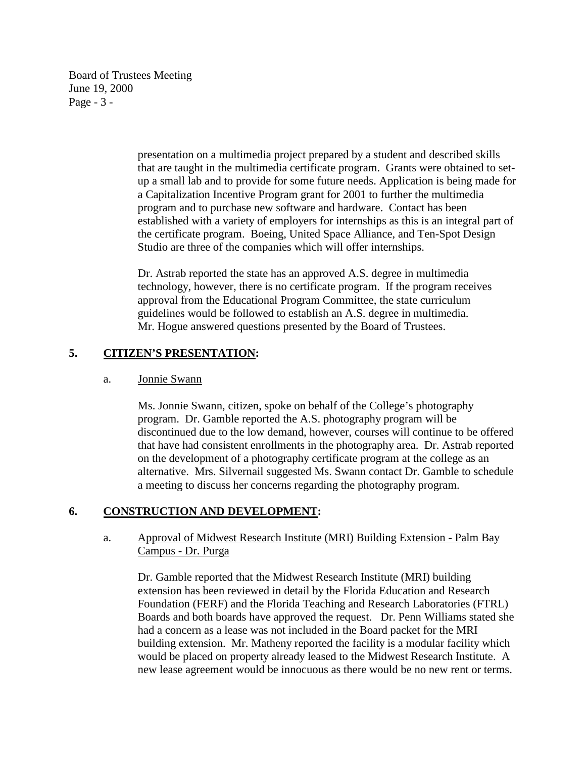Board of Trustees Meeting June 19, 2000 Page - 3 -

> presentation on a multimedia project prepared by a student and described skills that are taught in the multimedia certificate program. Grants were obtained to setup a small lab and to provide for some future needs. Application is being made for a Capitalization Incentive Program grant for 2001 to further the multimedia program and to purchase new software and hardware. Contact has been established with a variety of employers for internships as this is an integral part of the certificate program. Boeing, United Space Alliance, and Ten-Spot Design Studio are three of the companies which will offer internships.

Dr. Astrab reported the state has an approved A.S. degree in multimedia technology, however, there is no certificate program. If the program receives approval from the Educational Program Committee, the state curriculum guidelines would be followed to establish an A.S. degree in multimedia. Mr. Hogue answered questions presented by the Board of Trustees.

# **5. CITIZEN'S PRESENTATION:**

## a. Jonnie Swann

Ms. Jonnie Swann, citizen, spoke on behalf of the College's photography program. Dr. Gamble reported the A.S. photography program will be discontinued due to the low demand, however, courses will continue to be offered that have had consistent enrollments in the photography area. Dr. Astrab reported on the development of a photography certificate program at the college as an alternative. Mrs. Silvernail suggested Ms. Swann contact Dr. Gamble to schedule a meeting to discuss her concerns regarding the photography program.

# **6. CONSTRUCTION AND DEVELOPMENT:**

## a. Approval of Midwest Research Institute (MRI) Building Extension - Palm Bay Campus - Dr. Purga

Dr. Gamble reported that the Midwest Research Institute (MRI) building extension has been reviewed in detail by the Florida Education and Research Foundation (FERF) and the Florida Teaching and Research Laboratories (FTRL) Boards and both boards have approved the request. Dr. Penn Williams stated she had a concern as a lease was not included in the Board packet for the MRI building extension. Mr. Matheny reported the facility is a modular facility which would be placed on property already leased to the Midwest Research Institute. A new lease agreement would be innocuous as there would be no new rent or terms.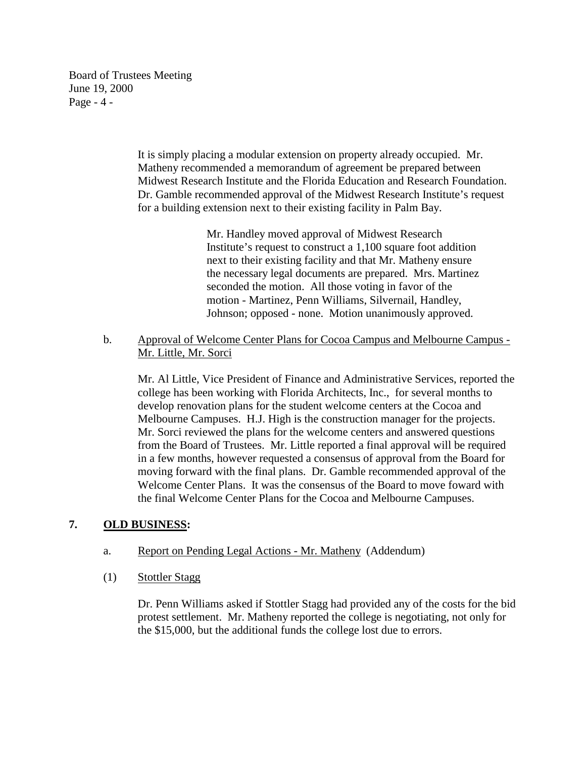Board of Trustees Meeting June 19, 2000 Page - 4 -

> It is simply placing a modular extension on property already occupied. Mr. Matheny recommended a memorandum of agreement be prepared between Midwest Research Institute and the Florida Education and Research Foundation. Dr. Gamble recommended approval of the Midwest Research Institute's request for a building extension next to their existing facility in Palm Bay.

> > Mr. Handley moved approval of Midwest Research Institute's request to construct a 1,100 square foot addition next to their existing facility and that Mr. Matheny ensure the necessary legal documents are prepared. Mrs. Martinez seconded the motion. All those voting in favor of the motion - Martinez, Penn Williams, Silvernail, Handley, Johnson; opposed - none. Motion unanimously approved.

 b. Approval of Welcome Center Plans for Cocoa Campus and Melbourne Campus - Mr. Little, Mr. Sorci

Mr. Al Little, Vice President of Finance and Administrative Services, reported the college has been working with Florida Architects, Inc., for several months to develop renovation plans for the student welcome centers at the Cocoa and Melbourne Campuses. H.J. High is the construction manager for the projects. Mr. Sorci reviewed the plans for the welcome centers and answered questions from the Board of Trustees. Mr. Little reported a final approval will be required in a few months, however requested a consensus of approval from the Board for moving forward with the final plans. Dr. Gamble recommended approval of the Welcome Center Plans. It was the consensus of the Board to move foward with the final Welcome Center Plans for the Cocoa and Melbourne Campuses.

# **7. OLD BUSINESS:**

- a. Report on Pending Legal Actions Mr. Matheny (Addendum)
- (1) Stottler Stagg

Dr. Penn Williams asked if Stottler Stagg had provided any of the costs for the bid protest settlement. Mr. Matheny reported the college is negotiating, not only for the \$15,000, but the additional funds the college lost due to errors.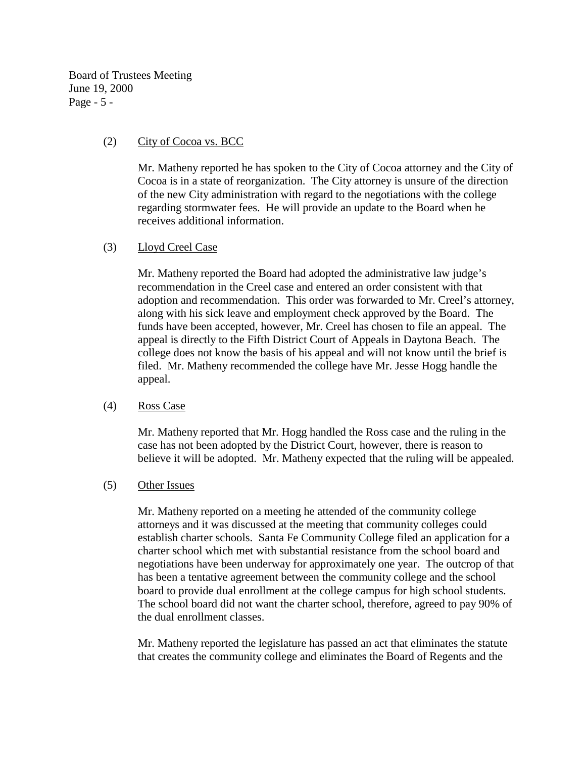Board of Trustees Meeting June 19, 2000 Page - 5 -

## (2) City of Cocoa vs. BCC

Mr. Matheny reported he has spoken to the City of Cocoa attorney and the City of Cocoa is in a state of reorganization. The City attorney is unsure of the direction of the new City administration with regard to the negotiations with the college regarding stormwater fees. He will provide an update to the Board when he receives additional information.

## (3) Lloyd Creel Case

Mr. Matheny reported the Board had adopted the administrative law judge's recommendation in the Creel case and entered an order consistent with that adoption and recommendation. This order was forwarded to Mr. Creel's attorney, along with his sick leave and employment check approved by the Board. The funds have been accepted, however, Mr. Creel has chosen to file an appeal. The appeal is directly to the Fifth District Court of Appeals in Daytona Beach. The college does not know the basis of his appeal and will not know until the brief is filed. Mr. Matheny recommended the college have Mr. Jesse Hogg handle the appeal.

### (4) Ross Case

Mr. Matheny reported that Mr. Hogg handled the Ross case and the ruling in the case has not been adopted by the District Court, however, there is reason to believe it will be adopted. Mr. Matheny expected that the ruling will be appealed.

### (5) Other Issues

Mr. Matheny reported on a meeting he attended of the community college attorneys and it was discussed at the meeting that community colleges could establish charter schools. Santa Fe Community College filed an application for a charter school which met with substantial resistance from the school board and negotiations have been underway for approximately one year. The outcrop of that has been a tentative agreement between the community college and the school board to provide dual enrollment at the college campus for high school students. The school board did not want the charter school, therefore, agreed to pay 90% of the dual enrollment classes.

Mr. Matheny reported the legislature has passed an act that eliminates the statute that creates the community college and eliminates the Board of Regents and the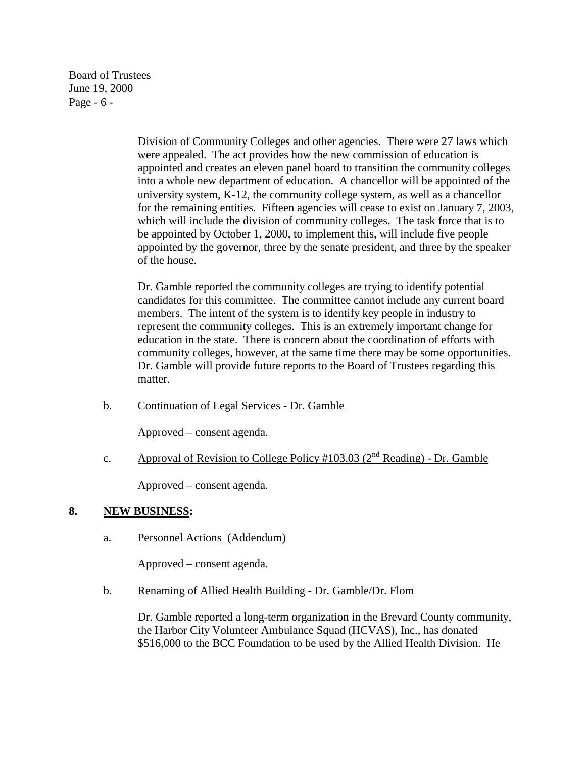Board of Trustees June 19, 2000 Page - 6 -

> Division of Community Colleges and other agencies. There were 27 laws which were appealed. The act provides how the new commission of education is appointed and creates an eleven panel board to transition the community colleges into a whole new department of education. A chancellor will be appointed of the university system, K-12, the community college system, as well as a chancellor for the remaining entities. Fifteen agencies will cease to exist on January 7, 2003, which will include the division of community colleges. The task force that is to be appointed by October 1, 2000, to implement this, will include five people appointed by the governor, three by the senate president, and three by the speaker of the house.

> Dr. Gamble reported the community colleges are trying to identify potential candidates for this committee. The committee cannot include any current board members. The intent of the system is to identify key people in industry to represent the community colleges. This is an extremely important change for education in the state. There is concern about the coordination of efforts with community colleges, however, at the same time there may be some opportunities. Dr. Gamble will provide future reports to the Board of Trustees regarding this matter.

b. Continuation of Legal Services - Dr. Gamble

Approved – consent agenda.

c. Approval of Revision to College Policy #103.03 ( $2<sup>nd</sup>$  Reading) - Dr. Gamble

Approved – consent agenda.

### **8. NEW BUSINESS:**

a. Personnel Actions (Addendum)

Approved – consent agenda.

b. Renaming of Allied Health Building - Dr. Gamble/Dr. Flom

Dr. Gamble reported a long-term organization in the Brevard County community, the Harbor City Volunteer Ambulance Squad (HCVAS), Inc., has donated \$516,000 to the BCC Foundation to be used by the Allied Health Division. He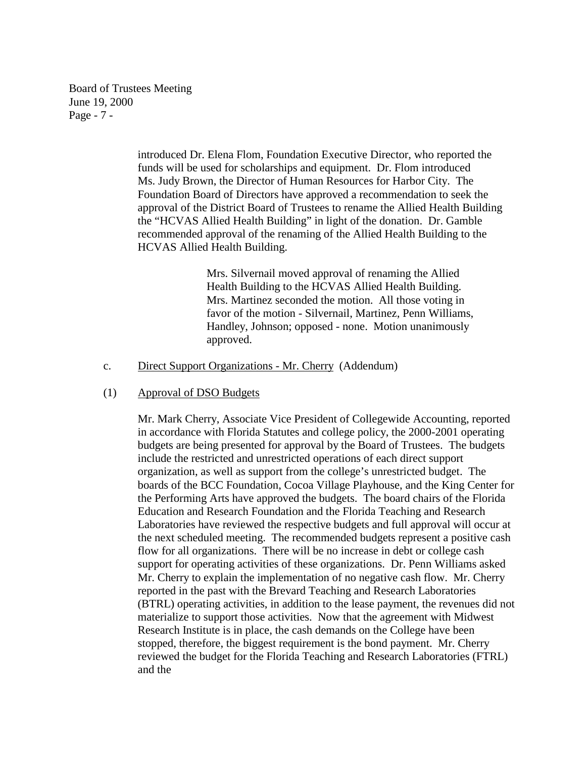Board of Trustees Meeting June 19, 2000 Page - 7 -

> introduced Dr. Elena Flom, Foundation Executive Director, who reported the funds will be used for scholarships and equipment. Dr. Flom introduced Ms. Judy Brown, the Director of Human Resources for Harbor City. The Foundation Board of Directors have approved a recommendation to seek the approval of the District Board of Trustees to rename the Allied Health Building the "HCVAS Allied Health Building" in light of the donation. Dr. Gamble recommended approval of the renaming of the Allied Health Building to the HCVAS Allied Health Building.

> > Mrs. Silvernail moved approval of renaming the Allied Health Building to the HCVAS Allied Health Building. Mrs. Martinez seconded the motion. All those voting in favor of the motion - Silvernail, Martinez, Penn Williams, Handley, Johnson; opposed - none. Motion unanimously approved.

c. Direct Support Organizations - Mr. Cherry (Addendum)

### (1) Approval of DSO Budgets

Mr. Mark Cherry, Associate Vice President of Collegewide Accounting, reported in accordance with Florida Statutes and college policy, the 2000-2001 operating budgets are being presented for approval by the Board of Trustees. The budgets include the restricted and unrestricted operations of each direct support organization, as well as support from the college's unrestricted budget. The boards of the BCC Foundation, Cocoa Village Playhouse, and the King Center for the Performing Arts have approved the budgets. The board chairs of the Florida Education and Research Foundation and the Florida Teaching and Research Laboratories have reviewed the respective budgets and full approval will occur at the next scheduled meeting. The recommended budgets represent a positive cash flow for all organizations. There will be no increase in debt or college cash support for operating activities of these organizations. Dr. Penn Williams asked Mr. Cherry to explain the implementation of no negative cash flow. Mr. Cherry reported in the past with the Brevard Teaching and Research Laboratories (BTRL) operating activities, in addition to the lease payment, the revenues did not materialize to support those activities. Now that the agreement with Midwest Research Institute is in place, the cash demands on the College have been stopped, therefore, the biggest requirement is the bond payment. Mr. Cherry reviewed the budget for the Florida Teaching and Research Laboratories (FTRL) and the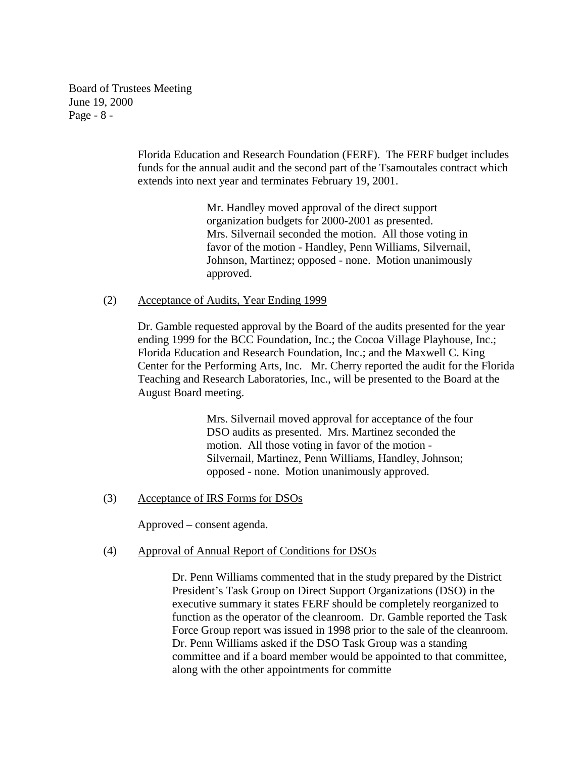Board of Trustees Meeting June 19, 2000 Page - 8 -

> Florida Education and Research Foundation (FERF). The FERF budget includes funds for the annual audit and the second part of the Tsamoutales contract which extends into next year and terminates February 19, 2001.

> > Mr. Handley moved approval of the direct support organization budgets for 2000-2001 as presented. Mrs. Silvernail seconded the motion. All those voting in favor of the motion - Handley, Penn Williams, Silvernail, Johnson, Martinez; opposed - none. Motion unanimously approved.

#### (2) Acceptance of Audits, Year Ending 1999

Dr. Gamble requested approval by the Board of the audits presented for the year ending 1999 for the BCC Foundation, Inc.; the Cocoa Village Playhouse, Inc.; Florida Education and Research Foundation, Inc.; and the Maxwell C. King Center for the Performing Arts, Inc. Mr. Cherry reported the audit for the Florida Teaching and Research Laboratories, Inc., will be presented to the Board at the August Board meeting.

> Mrs. Silvernail moved approval for acceptance of the four DSO audits as presented. Mrs. Martinez seconded the motion. All those voting in favor of the motion - Silvernail, Martinez, Penn Williams, Handley, Johnson; opposed - none. Motion unanimously approved.

### (3) Acceptance of IRS Forms for DSOs

Approved – consent agenda.

### (4) Approval of Annual Report of Conditions for DSOs

Dr. Penn Williams commented that in the study prepared by the District President's Task Group on Direct Support Organizations (DSO) in the executive summary it states FERF should be completely reorganized to function as the operator of the cleanroom. Dr. Gamble reported the Task Force Group report was issued in 1998 prior to the sale of the cleanroom. Dr. Penn Williams asked if the DSO Task Group was a standing committee and if a board member would be appointed to that committee, along with the other appointments for committe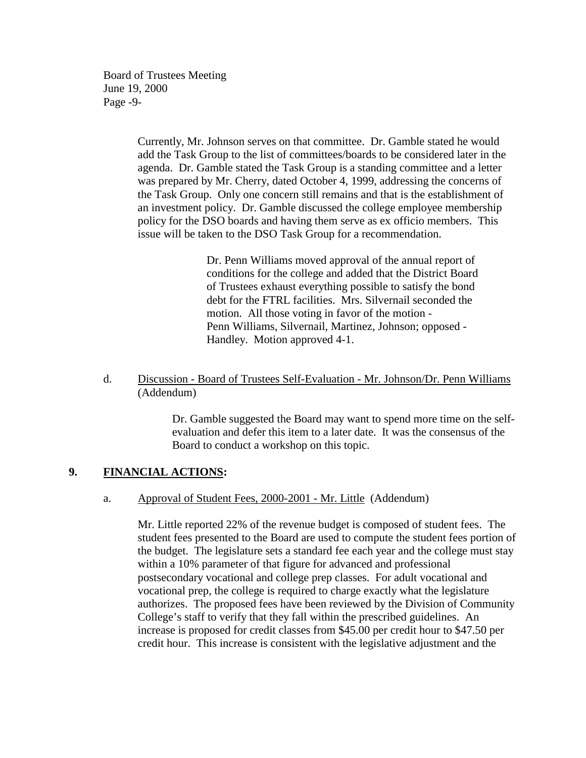Board of Trustees Meeting June 19, 2000 Page -9-

> Currently, Mr. Johnson serves on that committee. Dr. Gamble stated he would add the Task Group to the list of committees/boards to be considered later in the agenda. Dr. Gamble stated the Task Group is a standing committee and a letter was prepared by Mr. Cherry, dated October 4, 1999, addressing the concerns of the Task Group. Only one concern still remains and that is the establishment of an investment policy. Dr. Gamble discussed the college employee membership policy for the DSO boards and having them serve as ex officio members. This issue will be taken to the DSO Task Group for a recommendation.

> > Dr. Penn Williams moved approval of the annual report of conditions for the college and added that the District Board of Trustees exhaust everything possible to satisfy the bond debt for the FTRL facilities. Mrs. Silvernail seconded the motion. All those voting in favor of the motion - Penn Williams, Silvernail, Martinez, Johnson; opposed - Handley. Motion approved 4-1.

## d. Discussion - Board of Trustees Self-Evaluation - Mr. Johnson/Dr. Penn Williams (Addendum)

Dr. Gamble suggested the Board may want to spend more time on the selfevaluation and defer this item to a later date. It was the consensus of the Board to conduct a workshop on this topic.

### **9. FINANCIAL ACTIONS:**

### a. Approval of Student Fees, 2000-2001 - Mr. Little (Addendum)

Mr. Little reported 22% of the revenue budget is composed of student fees. The student fees presented to the Board are used to compute the student fees portion of the budget. The legislature sets a standard fee each year and the college must stay within a 10% parameter of that figure for advanced and professional postsecondary vocational and college prep classes. For adult vocational and vocational prep, the college is required to charge exactly what the legislature authorizes. The proposed fees have been reviewed by the Division of Community College's staff to verify that they fall within the prescribed guidelines. An increase is proposed for credit classes from \$45.00 per credit hour to \$47.50 per credit hour. This increase is consistent with the legislative adjustment and the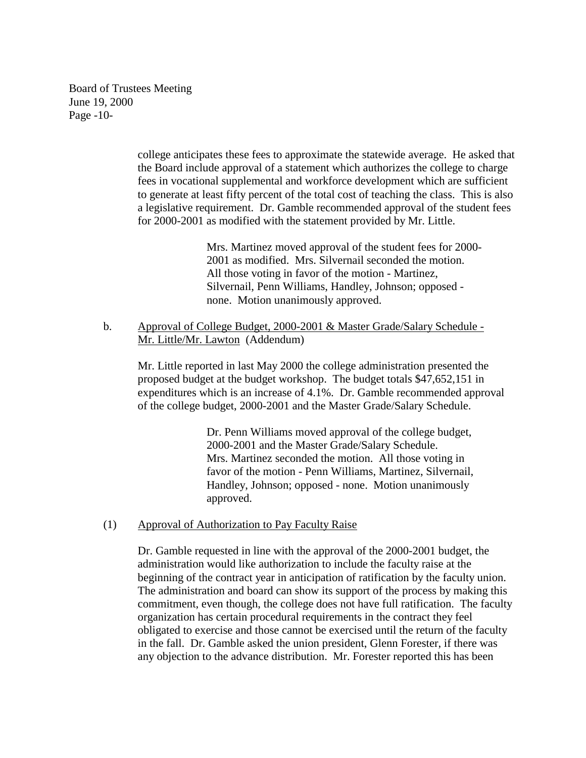Board of Trustees Meeting June 19, 2000 Page -10-

> college anticipates these fees to approximate the statewide average. He asked that the Board include approval of a statement which authorizes the college to charge fees in vocational supplemental and workforce development which are sufficient to generate at least fifty percent of the total cost of teaching the class. This is also a legislative requirement. Dr. Gamble recommended approval of the student fees for 2000-2001 as modified with the statement provided by Mr. Little.

> > Mrs. Martinez moved approval of the student fees for 2000- 2001 as modified. Mrs. Silvernail seconded the motion. All those voting in favor of the motion - Martinez, Silvernail, Penn Williams, Handley, Johnson; opposed none. Motion unanimously approved.

 b. Approval of College Budget, 2000-2001 & Master Grade/Salary Schedule - Mr. Little/Mr. Lawton (Addendum)

Mr. Little reported in last May 2000 the college administration presented the proposed budget at the budget workshop. The budget totals \$47,652,151 in expenditures which is an increase of 4.1%. Dr. Gamble recommended approval of the college budget, 2000-2001 and the Master Grade/Salary Schedule.

> Dr. Penn Williams moved approval of the college budget, 2000-2001 and the Master Grade/Salary Schedule. Mrs. Martinez seconded the motion. All those voting in favor of the motion - Penn Williams, Martinez, Silvernail, Handley, Johnson; opposed - none. Motion unanimously approved.

### (1) Approval of Authorization to Pay Faculty Raise

Dr. Gamble requested in line with the approval of the 2000-2001 budget, the administration would like authorization to include the faculty raise at the beginning of the contract year in anticipation of ratification by the faculty union. The administration and board can show its support of the process by making this commitment, even though, the college does not have full ratification. The faculty organization has certain procedural requirements in the contract they feel obligated to exercise and those cannot be exercised until the return of the faculty in the fall. Dr. Gamble asked the union president, Glenn Forester, if there was any objection to the advance distribution. Mr. Forester reported this has been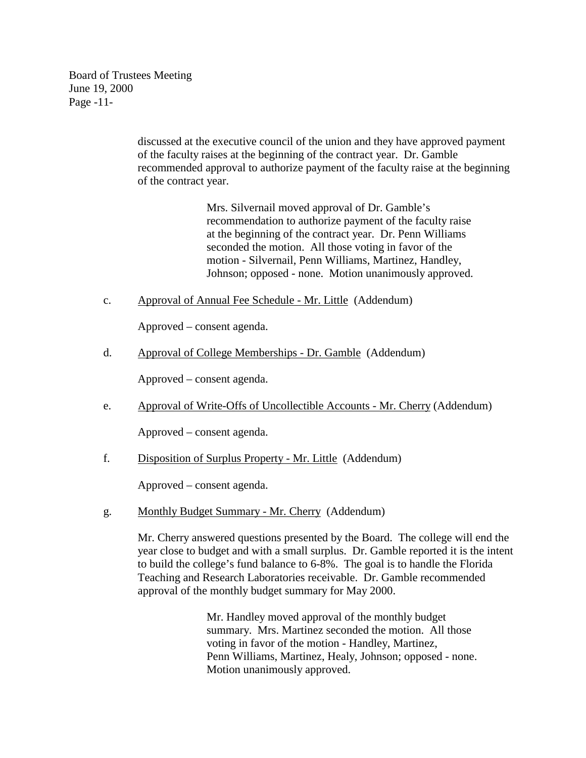Board of Trustees Meeting June 19, 2000 Page -11-

> discussed at the executive council of the union and they have approved payment of the faculty raises at the beginning of the contract year. Dr. Gamble recommended approval to authorize payment of the faculty raise at the beginning of the contract year.

> > Mrs. Silvernail moved approval of Dr. Gamble's recommendation to authorize payment of the faculty raise at the beginning of the contract year. Dr. Penn Williams seconded the motion. All those voting in favor of the motion - Silvernail, Penn Williams, Martinez, Handley, Johnson; opposed - none. Motion unanimously approved.

c. Approval of Annual Fee Schedule - Mr. Little (Addendum)

Approved – consent agenda.

d. Approval of College Memberships - Dr. Gamble (Addendum)

Approved – consent agenda.

e. Approval of Write-Offs of Uncollectible Accounts - Mr. Cherry (Addendum)

Approved – consent agenda.

f. Disposition of Surplus Property - Mr. Little (Addendum)

Approved – consent agenda.

g. Monthly Budget Summary - Mr. Cherry (Addendum)

Mr. Cherry answered questions presented by the Board. The college will end the year close to budget and with a small surplus. Dr. Gamble reported it is the intent to build the college's fund balance to 6-8%. The goal is to handle the Florida Teaching and Research Laboratories receivable. Dr. Gamble recommended approval of the monthly budget summary for May 2000.

> Mr. Handley moved approval of the monthly budget summary. Mrs. Martinez seconded the motion. All those voting in favor of the motion - Handley, Martinez, Penn Williams, Martinez, Healy, Johnson; opposed - none. Motion unanimously approved.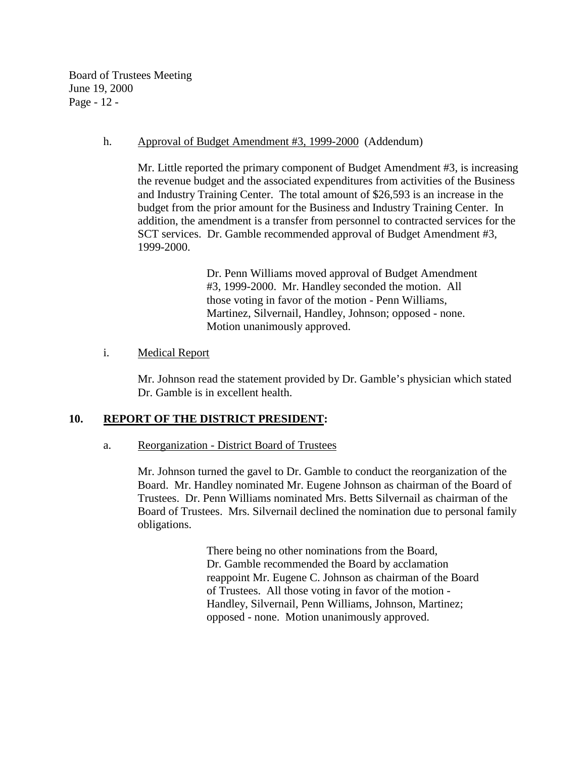Board of Trustees Meeting June 19, 2000 Page - 12 -

#### h. Approval of Budget Amendment #3, 1999-2000 (Addendum)

Mr. Little reported the primary component of Budget Amendment #3, is increasing the revenue budget and the associated expenditures from activities of the Business and Industry Training Center. The total amount of \$26,593 is an increase in the budget from the prior amount for the Business and Industry Training Center. In addition, the amendment is a transfer from personnel to contracted services for the SCT services. Dr. Gamble recommended approval of Budget Amendment #3, 1999-2000.

> Dr. Penn Williams moved approval of Budget Amendment #3, 1999-2000. Mr. Handley seconded the motion. All those voting in favor of the motion - Penn Williams, Martinez, Silvernail, Handley, Johnson; opposed - none. Motion unanimously approved.

### i. Medical Report

Mr. Johnson read the statement provided by Dr. Gamble's physician which stated Dr. Gamble is in excellent health.

### **10. REPORT OF THE DISTRICT PRESIDENT:**

#### a. Reorganization - District Board of Trustees

Mr. Johnson turned the gavel to Dr. Gamble to conduct the reorganization of the Board. Mr. Handley nominated Mr. Eugene Johnson as chairman of the Board of Trustees. Dr. Penn Williams nominated Mrs. Betts Silvernail as chairman of the Board of Trustees. Mrs. Silvernail declined the nomination due to personal family obligations.

> There being no other nominations from the Board, Dr. Gamble recommended the Board by acclamation reappoint Mr. Eugene C. Johnson as chairman of the Board of Trustees. All those voting in favor of the motion - Handley, Silvernail, Penn Williams, Johnson, Martinez; opposed - none. Motion unanimously approved.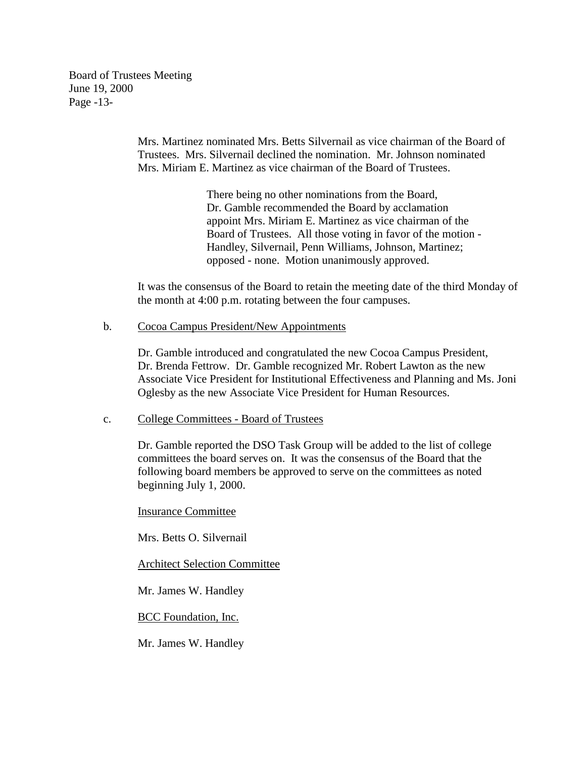Board of Trustees Meeting June 19, 2000 Page -13-

> Mrs. Martinez nominated Mrs. Betts Silvernail as vice chairman of the Board of Trustees. Mrs. Silvernail declined the nomination. Mr. Johnson nominated Mrs. Miriam E. Martinez as vice chairman of the Board of Trustees.

> > There being no other nominations from the Board, Dr. Gamble recommended the Board by acclamation appoint Mrs. Miriam E. Martinez as vice chairman of the Board of Trustees. All those voting in favor of the motion - Handley, Silvernail, Penn Williams, Johnson, Martinez; opposed - none. Motion unanimously approved.

It was the consensus of the Board to retain the meeting date of the third Monday of the month at 4:00 p.m. rotating between the four campuses.

#### b. Cocoa Campus President/New Appointments

Dr. Gamble introduced and congratulated the new Cocoa Campus President, Dr. Brenda Fettrow. Dr. Gamble recognized Mr. Robert Lawton as the new Associate Vice President for Institutional Effectiveness and Planning and Ms. Joni Oglesby as the new Associate Vice President for Human Resources.

#### c. College Committees - Board of Trustees

Dr. Gamble reported the DSO Task Group will be added to the list of college committees the board serves on. It was the consensus of the Board that the following board members be approved to serve on the committees as noted beginning July 1, 2000.

#### Insurance Committee

Mrs. Betts O. Silvernail

#### Architect Selection Committee

Mr. James W. Handley

BCC Foundation, Inc.

Mr. James W. Handley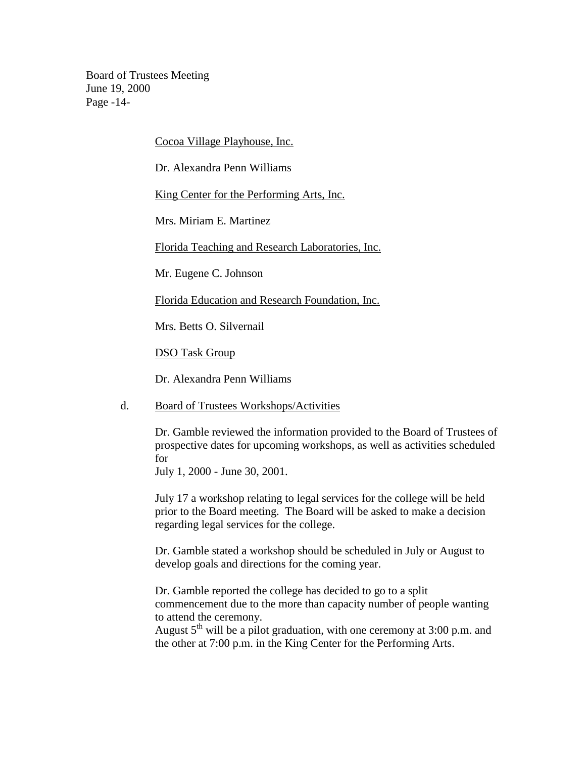Board of Trustees Meeting June 19, 2000 Page -14-

Cocoa Village Playhouse, Inc.

Dr. Alexandra Penn Williams

King Center for the Performing Arts, Inc.

Mrs. Miriam E. Martinez

Florida Teaching and Research Laboratories, Inc.

Mr. Eugene C. Johnson

Florida Education and Research Foundation, Inc.

Mrs. Betts O. Silvernail

DSO Task Group

Dr. Alexandra Penn Williams

#### d. Board of Trustees Workshops/Activities

Dr. Gamble reviewed the information provided to the Board of Trustees of prospective dates for upcoming workshops, as well as activities scheduled for

July 1, 2000 - June 30, 2001.

July 17 a workshop relating to legal services for the college will be held prior to the Board meeting. The Board will be asked to make a decision regarding legal services for the college.

Dr. Gamble stated a workshop should be scheduled in July or August to develop goals and directions for the coming year.

Dr. Gamble reported the college has decided to go to a split commencement due to the more than capacity number of people wanting to attend the ceremony.

August  $5<sup>th</sup>$  will be a pilot graduation, with one ceremony at 3:00 p.m. and the other at 7:00 p.m. in the King Center for the Performing Arts.